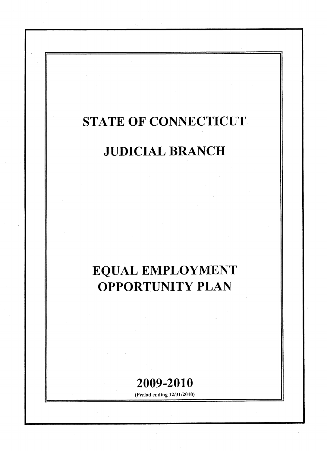# STATE OF CONNECTICUT

# JUDICIAL BRANCH

# EQUAL EMPLOYMENT OPPORTUNITY PLAN

# 2009-2010

(Period ending 12/31/2010)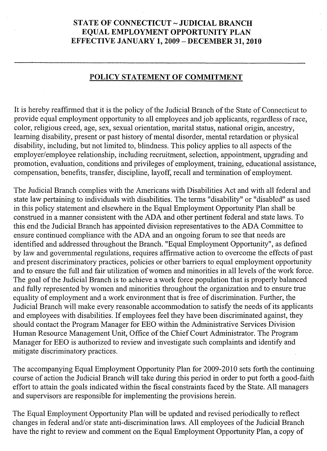## STATE OF CONNECTICUT ~ JUDICIAL BRANCH EQUAL EMPLOYMENT OPPORTUNITY PLAN EFFECTIVE JANUARY 1, 2009 - DECEMBER 31, 2010

### POLICY STATEMENT OF COMMITMENT

It is hereby reaffirmed that it is the policy of the Judicial Branch of the State of Connecticut to provide equal employment opportunity to all employees and job applicants, regardless ofrace, color, religious creed, age, sex, sexual orientation, marital status, national origin, ancestry, learning disability, present or past history of mental disorder, mental retardation or physical disability, including, but not limited to, blindness. This policy applies to all aspects of the employer/employee relationship, including recruitment, selection, appointment, upgrading and promotion, evaluation, conditions and privileges of employment, training, educational assistance, compensation, benefits, transfer, discipline, layoff, recall and termination of employment.

The Judicial Branch complies with the Americans with Disabilities Act and with all federal and state law pertaining to individuals with disabilities. The terms "disability" or "disabled" as used in this policy statement and elsewhere in the Equal Employment Opportunity Plan shall be construed in a manner consistent with the ADA and other pertinent federal and state laws. To this end the Judicial Branch has appointed division representatives to the ADA Committee to ensure continued compliance with the ADA and an ongoing forum to see that needs are identified and addressed throughout the Branch. "Equal Employment Opportunity", as defined by law and governmental regulations, requires affirmative action to overcome the effects of past and present discriminatory practices, policies or other barriers to equal employment opportunity and to ensure the full and fair utilization of women and minorities in all levels of the work force. The goal of the Judicial Branch is to achieve a work force population that is properly balanced and fully represented by women and minorities throughout the organization and to ensure true equality of employment and a work environment that is free of discrimination. Further, the Judicial Branch will make every reasonable accommodation to satisfy the needs of its applicants and employees with disabilities. If employees feel they have been discriminated against, they should contact the Program Manager for EEO within the Administrative Services Division Human Resource Management Unit, Office of the Chief Court Administrator. The Program Manager for EEO is authorized to review and investigate such complaints and identify and mitigate discriminatory practices.

The accompanying Equal Employment Opportunity Plan for 2009-2010 sets forth the continuing course of action the Judicial Branch will take during this period in order to put forth a good-faith effort to attain the goals indicated within the fiscal constraints faced by the State. All managers and supervisors are responsible for implementing the provisions herein.

The Equal Employment Opportunity Plan will be updated and revised periodically to reflect changes in federal and/or state anti-discrimination laws. All employees of the Judicial Branch have the right to review and comment on the Equal Employment Opportunity Plan, a copy of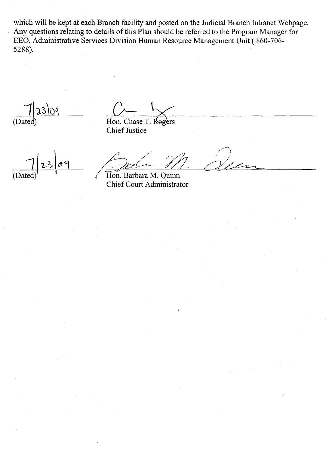which will be kept at each Branch facility and posted on the Judicial Branch Intranet Webpage. Any questions relating to details of this Plan should be referred to the Program Manager for EEO, Administrative Services Division Human Resource Management Unit ( 860-706- 5288).

 $3)$   $\Omega$ (Dated)

Hon. Chase Rogers Chief Justice

 $\ell$ 

Pede VN Hon. Barbara M. Quinn Chief Court Administrator

 $\sqrt{ }$ Jean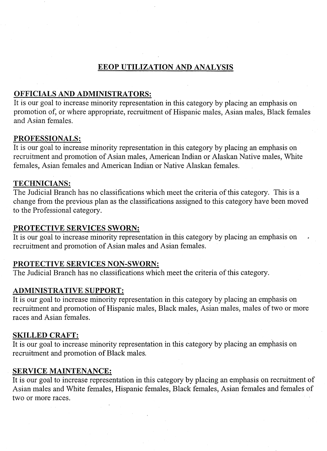# EEOP UTILIZATION AND ANALYSIS

## OFFICIALS AND ADMINISTRATORS:

It is our goal to increase minority representation in this category by placing an emphasis on promotion of, or where appropriate, recruitment of Hispanic males, Asian males, Black females and Asian females.

## PROFESSIONALS:

It is our goal to increase minority representation in this category by placing an emphasis on recruitment and promotion of Asian males, American Indian or Alaskan Native males, White females, Asian females and American Indian or Native Alaskan females.

## TECHNICIANS:

The Judicial Branch has no classifications which meet the criteria ofthis category. This is a change from the previous plan as the classifications assigned to this category have been moved to the Professional category.

### PROTECTIVE SERVICES SWORN:

It is our goal to increase minority representation in this category by placing an emphasis on recruitment and promotion of Asian males and Asian females.

### PROTECTIVE SERVICES NON-SWORN:

The Judicial Branch has no classifications which meet the criteria ofthis category.

## ADMINISTRATIVE SUPPORT:

It is our goal to increase minority representation in this category by placing an emphasis on recruitment and promotion of Hispanic males, Black males, Asian males, males of two or more races and Asian females.

#### SKILLED CRAFT:

It is our goal to increase minority representation in this category by placing an emphasis on recruitment and promotion of Black males.

### **SERVICE MAINTENANCE:**

It is our goal to increase representation in this category by placing an emphasis on recruitment of Asian males and White females, Hispanic females, Black females, Asian females and females of two or more races.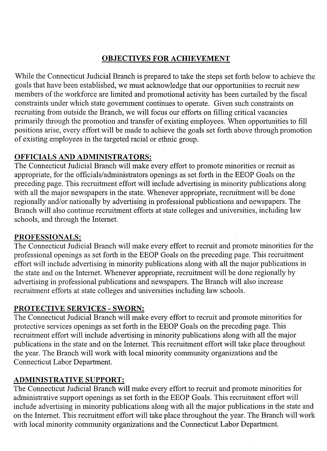# OBJECTIVES FOR ACHIEVEMENT

While the Connecticut Judicial Branch is prepared to take the steps set forth below to achieve the goals that have been established, we must acknowledge that our opportunities to recruit new members of the workforce are limited and promotional activity has been curtailed by the fiscal constraints under which state government continues to operate. Given such constraints on recruiting from outside the Branch, we will focus our efforts on filling critical vacancies primarily through the promotion and transfer of existing employees. When opportunities to fill positions arise, every effort will be made to achieve the goals set forth above through promotion of existing employees in the targeted racial or ethnic group.

# OFFICIALS AND ADMINISTRATORS:

The Connecticut Judicial Branch will make every effort to promote minorities or recruit as appropriate, for the officials/administrators openings as set forth in the EEOP Goals on the preceding page. This recruitment effort will include advertising in minority publications along with all the major newspapers in the state. Whenever appropriate, recruitment will be done regionally and/or nationally by advertising in professional publications and newspapers. The Branch will also continue recruitment efforts at state colleges and universities, including law schools, and through the Internet.

## PROFESSIONALS:

The Connecticut Judicial Branch will make every effort to recruit and promote minorities for the professional openings as set forth in the EEOP Goals on the preceding page. This recruitment effort will include advertising in minority publications along with all the major publications in the state and on the Internet. Whenever appropriate, recruitment will be done regionally by advertising in professional publications and newspapers. The Branch will also increase recruitment efforts at state colleges and universities including law schools.

# PROTECTIVE SERVICES - SWORN:

The Connecticut Judicial Branch will make every effort to recruit and promote minorities for protective services openings as set forth in the EEOP Goals on the preceding page. This recruitment effort will include advertising in minority publications along with all the major , publications in the state and on the Internet. This recruitment effort will take place throughout the year. The Branch will work with local minority community organizations and the Connecticut Labor Department.

# ADMINISTRATIVE SUPPORT:

The Connecticut Judicial Branch will make every effort to recruit and promote minorities for administrative support openings as set forth in the EEOP Goals. This recruitment effort will include advertising in minority publications along with all the major publications in the state 'and on the Internet. This recruitment effort will take place throughout the year. The Branch will work with local minority community organizations and the Connecticut Labor Department.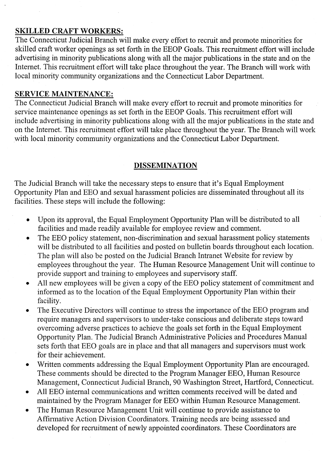## SKILLED CRAFT WORKERS:

The Connecticut Judicial Branch will make every effort to recruit and promote minorities for skilled craft worker openings as set forth in the EEOP Goals. This recruitment effort will include advertising in minority publications along with all the major publications in the state and on the Internet. This recruitment effort will take place throughout the year. The Branch will work with local minority community organizations and the Connecticut Labor Department.

# SERVICE MAINTENANCE:

The Connecticut Judicial Branch will make every effort to recruit and promote minorities for service maintenance openings as set forth in the EEOP Goals. This recruitment effort will include advertising in minority publications along with all the major publications in the state and on the Internet. This recruitment effort will take place throughout the year. The Branch will work with local minority community organizations and the Connecticut Labor Department.

# DISSEMINATION

The Judicial Branch will take the necessary steps to ensure that it's Equal Employment Opportunity Plan and EEO and sexual harassment policies are disseminated throughout all its facilities. These steps will include the following:

- Upon its approval, the Equal Employment Opportunity Plan will be distributed to all facilities and made readily available for employee review and comment.
- The EEO policy statement, non-discrimination and sexual harassment policy statements will be distributed to all facilities and posted on bulletin boards throughout each location. The plan will also be posted on the Judicial Branch Intranet Website for review by employees throughout the year. The Human Resource Management Unit will continue to provide support and training to employees and supervisory staff.
- All new employees will be given a copy of the EEO policy statement of commitment and informed as to the location of the Equal Employment Opportunity Plan within their facility.
- The Executive Directors will continue to stress the importance of the EEO program and require managers and supervisors to under-take conscious and deliberate steps toward overcoming adverse practices to achieve the goals set forth in the Equal Employment Opportunity Plan. The Judicial Branch Administrative Policies and Procedures Manual sets forth that EEO goals are in place and that all managers and supervisors must work for their achievement.
- Written comments addressing the Equal Employment Opportunity Plan are encouraged. These comments should be directed to the Program Manager EEO, Human Resource Management, Connecticut Judicial Branch, 90 Washington Street, Hartford, Connecticut.
- All EEO internal communications and written comments received will be dated and maintained by the Program Manager for EEO within Human Resource Management.
- The Human Resource Management Unit will continue to provide assistance to Affinnative Action Division Coordinators. Training needs are being assessed and developed for recruitment of newly appointed coordinators. These Coordinators are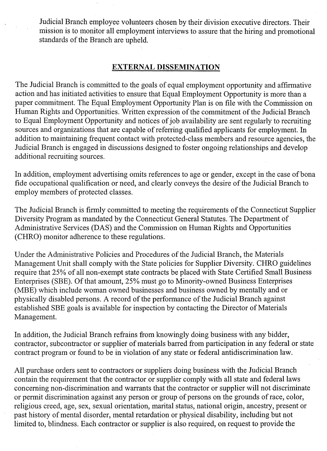Judicial Branch employee volunteers chosen by their division executive directors. Their mission is to monitor all employment interviews to assure that the hiring and promotional standards of the Branch are upheld.

### EXTERNAL **DISSEMINATION**

The Judicial Branch is committed to the goals of equal employment opportunity and affirmative action and has initiated activities to ensure that Equal Employment Opportunity is more than a paper commitment. The Equal Employment Opportunity Plan is on file with the Commission on Human Rights and Opportunities. Written expression of the commitment of the Judicial Branch to Equal Employment Opportunity and notices of job availability are sent regularly to recruiting sources and organizations that are capable of referring qualified applicants for employment. In addition to maintaining frequent contact with protected-class members and resource agencies, the Judicial Branch is engaged in discussions designed to foster ongoing relationships and develop additional recruiting sources.

In addition, employment advertising omits references to age or gender, except in the case of bona fide occupational qualification or need, and clearly conveys the desire of the Judicial Branch to .employ members of protected classes.

The Judicial Branch is firmly committed to meeting the requirements of the Connecticut Supplier Diversity Program as mandated by the Connecticut General Statutes. The Department of Administrative Services (DAS) and the Commission on Human Rights and Opportunities (CHRO) monitor adherence to these regulations.

Under the Administrative Policies and Procedures of the Judicial Branch, the Materials Management Unit shall comply with the State policies for Supplier Diversity. CHRO guidelines require that 25% of all non-exempt state contracts be placed with State Certified Small Business Enterprises (SBE). Of that amount, 25% must go to Minority-owned Business Enterprises (MBE) which include woman owned businesses and business owned by mentally and or physically disabled persons. A record of the performance of the Judicial Branch against established SBE goals is available for inspection by contacting the Director of Materials Management.

In addition, the Judicial Branch refrains from knowingly doing business with any bidder, contractor, subcontractor or supplier of materials barred from participation in any federal or state contract program or found to be in violation of any state or federal antidiscrimination law.

All purchase orders sent to contractors or suppliers doing business with the Judicial Branch contain the requirement that the contractor or supplier comply with all state and federal laws concerning non-discrimination and warrants that the contractor or supplier will not discriminate or permit discrimination against any person or group of persons on the grounds ofrace, color, religious creed, age, sex, sexual orientation, marital status, national origin, ancestry, present or past history of mental disorder, mental retardation or physical disability, including but not limited to, blindness. Each contractor or supplier is also required, on request to provide the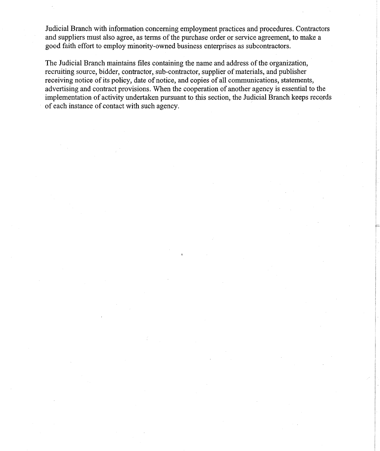Judicial Branch with information concerning employment practices and procedures. Contractors and suppliers must also agree, as terms of the purchase order or service agreement, to make a good faith effort to employ minority-owned business enterprises as subcontractors.

The Judicial Branch maintains files containing the name and address of the organization, recruiting source, bidder, contractor, sub-contractor, supplier of materials, and publisher receiving notice of its policy, date of notice, and copies of all communications, statements, advertising and contract provisions. When the cooperation of another agency is essential to the implementation of activity undertaken pursuant to this section, the Judicial Branch keeps records of each instance of contact with such agency.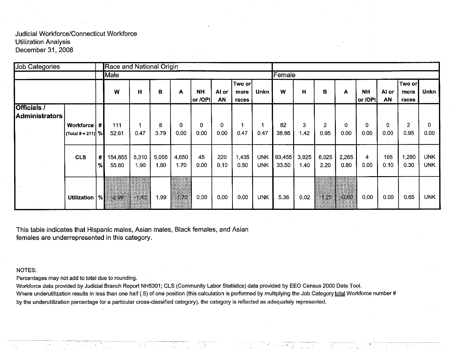| <b>Job Categories</b>                |                                         |        | Race and National Origin |               |               |                  |                      |             |                         |                          |                 |               |                        |               |                      |                  |                         |                          |
|--------------------------------------|-----------------------------------------|--------|--------------------------|---------------|---------------|------------------|----------------------|-------------|-------------------------|--------------------------|-----------------|---------------|------------------------|---------------|----------------------|------------------|-------------------------|--------------------------|
|                                      |                                         |        | Male                     |               |               |                  |                      |             |                         |                          | Female          |               |                        |               |                      |                  |                         |                          |
|                                      |                                         |        | W                        | н             | в             | А                | <b>NH</b><br>or /OPI | Al or<br>AN | Two or<br>more<br>races | <b>Unkn</b>              | w               | н             | B                      | A             | <b>NH</b><br>or /OPI | Al or<br>AN      | Two or<br>more<br>races | <b>Unkn</b>              |
| <b>Officials /</b><br>Administrators | <b>Workforce</b><br> (Total # = 211)  % | #      | 111<br>52.61             | 1<br>0.47     | 8<br>3.79     | $\bf{0}$<br>0.00 | 0<br>0.00            | 0<br>0.00   | 0.47                    | 0.47                     | 82<br>38.86     | 3<br>1.42     | $\overline{2}$<br>0.95 | 0<br>0.00     | $\mathbf 0$<br>0.00  | $\Omega$<br>0.00 | $\mathbf{2}$<br>0.95    | 0.<br>0.00 <sub>1</sub>  |
|                                      | <b>CLS</b>                              | #<br>% | 154,855<br>55.60         | 5,310<br>1.90 | 5,055<br>1.80 | 4.650<br>1.70    | 45<br>0.00           | 220<br>0.10 | 1,435<br>0.50           | <b>UNK</b><br><b>UNK</b> | 93,455<br>33.50 | 3,925<br>1.40 | 6,025<br>2.20          | 2,265<br>0.80 | 4<br>0.00            | 195<br>0.10      | 1,280<br>0.30           | <b>UNK</b><br><b>UNK</b> |
|                                      | Utilization   %                         |        | $-2.99$                  | $-1.43$       | 1.99          | $-1,70$          | 0.00                 | 0.00        | 0.00 <sub>1</sub>       | <b>UNK</b>               | 5.36            | 0.02          | $-1.25$                | $-0.80$       | 0.00                 | 0.00             | 0.65                    | <b>UNK</b>               |

This table indicates that Hispanic males, Asian males, Black females, and Asian females are underrepresented in this category.

#### NOTES:

Percentages may not add to total due to rounding.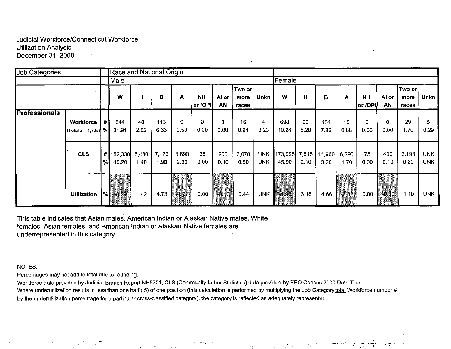| Job Categories       |                                           |    |                   |               | Race and National Origin |               |                        |                  |                         |                          |                  |               |                |               |                      |             |                           |                          |
|----------------------|-------------------------------------------|----|-------------------|---------------|--------------------------|---------------|------------------------|------------------|-------------------------|--------------------------|------------------|---------------|----------------|---------------|----------------------|-------------|---------------------------|--------------------------|
|                      |                                           |    | Male              |               |                          |               |                        |                  |                         |                          | Female           |               |                |               |                      |             |                           |                          |
|                      |                                           |    | W                 | н             | в                        | A             | <b>NH</b><br>or /OPI   | Al or<br>AN      | Two or<br>more<br>races | Unkn                     | W                | н             | в              | А             | <b>NH</b><br>or /OPI | Al or<br>AN | ∣Two or∣<br>more<br>races | <b>Unkn</b>              |
| <b>Professionals</b> |                                           |    |                   |               |                          |               |                        |                  |                         |                          |                  |               |                |               |                      |             |                           |                          |
|                      | <b>Workforce</b><br>(Total # = 1,705) $%$ | #1 | 544<br>31.91      | 48<br>2.82    | 113<br>6.63              | 9<br>0.53     | 0<br>0.00 <sub>1</sub> | $\Omega$<br>0.00 | 16<br>0.94              | 4<br>0.23                | 698<br>40.94     | 90<br>5.28    | 134<br>7.86    | 15<br>0.88    | $\mathbf 0$<br>0.00  | 0<br>0.00   | 29<br>1.70                | 5<br>0.29                |
|                      | <b>CLS</b>                                | %  | #152,330<br>40.20 | 5,480<br>1.40 | 7,120<br>1.90            | 8,890<br>2.30 | 35<br>0.00             | 200<br>0.10      | 2,070<br>0.50           | <b>UNK</b><br><b>UNK</b> | 173,995<br>45.90 | 7,815<br>2.10 | 11,960<br>3.20 | 6,290<br>1.70 | 75<br>0.00           | 400<br>0.10 | 2,195<br>0.60             | <b>UNK</b><br><b>UNK</b> |
|                      | <b>Utilization</b>                        | %! | $-8.29$           | 1.42          | 4.73                     | $-1.77$       | 0.00                   | $-0.10$          | 0.44                    | <b>UNK</b>               | 4,96             | 3.18          | 4.66           | $-0.82$       | 0.00                 | $-0.10$     | 1.10                      | <b>UNK</b>               |

This table indicates that Asian males, American Indian or Alaskan Native males, White females, Asian females, and American Indian or Alaskan Native females are underrepresented in this category.

#### NOTES:

Percentages may not add to total due to rounding.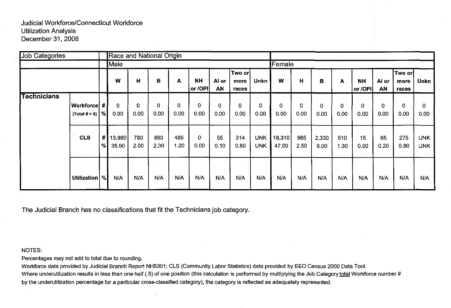| <b>Job Categories</b> |                                      |               | Race and National Origin |             |             |                      |                      |             |                         |                          |                 |                  |                     |             |                      |             |                          |                          |
|-----------------------|--------------------------------------|---------------|--------------------------|-------------|-------------|----------------------|----------------------|-------------|-------------------------|--------------------------|-----------------|------------------|---------------------|-------------|----------------------|-------------|--------------------------|--------------------------|
|                       |                                      |               | Male                     |             |             |                      |                      |             |                         |                          | Female          |                  |                     |             |                      |             |                          |                          |
|                       |                                      |               | w                        | н           | в           | A                    | <b>NH</b><br>or /OPI | Al or<br>AN | Two or<br>more<br>races | Unkn                     | W               | н                | B                   | A           | <b>NH</b><br>or /OPI | Al or<br>AN | Two orl<br>more<br>races | Unkn                     |
| <b>Technicians</b>    | Workforce  #  <br>(Total # = 0) $ %$ |               | 0<br>0.00                | 0<br>0.00   | 0<br>0.00   | $\mathbf{0}$<br>0.00 | 0<br>0.00            | 0<br>0.00   | 0<br>0.00               | 0<br>0.00                | 0<br>0.00       | $\Omega$<br>0.00 | $\mathbf 0$<br>0.00 | 0<br>0.00   | $\mathbf 0$<br>0.00  | 0<br>0.00   | 0<br>0.00                | 0<br>0.00 <sub>1</sub>   |
|                       | <b>CLS</b>                           | #1<br>$\%$    | 13,980<br>35.90          | 780<br>2.00 | 880<br>2.30 | 485<br>1.20          | 0<br>0.00            | 55<br>0.10  | 314<br>0.80             | <b>UNK</b><br><b>UNK</b> | 18,310<br>47.00 | 985<br>2.50      | 2,330<br>6.00       | 510<br>1.30 | 15<br>0.00           | 65<br>0.20  | 275<br>0.80              | <b>UNK</b><br><b>UNK</b> |
|                       | <b>Utilization</b>                   | $\frac{9}{6}$ | N/A                      | N/A         | N/A         | N/A                  | N/A                  | N/A         | N/A                     | N/A                      | N/A             | N/A              | N/A                 | N/A         | N/A                  | N/A         | N/A                      | N/A                      |

The Judicial Branch has no classifications that fit the Technicians job category.

#### NOTES:

Percentages may not add to total due to rounding.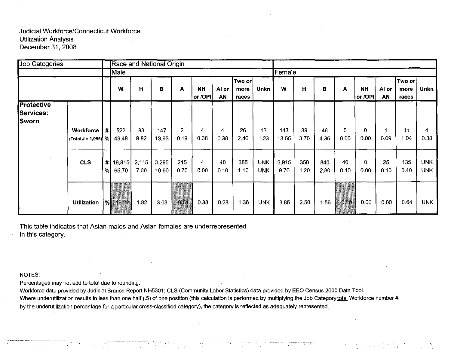| <b>Job Categories</b>                                 |                                    |         |                 |               | Race and National Origin |             |                      |             |                         |                          |               |             |             |                                |                      |             |                         |                          |
|-------------------------------------------------------|------------------------------------|---------|-----------------|---------------|--------------------------|-------------|----------------------|-------------|-------------------------|--------------------------|---------------|-------------|-------------|--------------------------------|----------------------|-------------|-------------------------|--------------------------|
|                                                       |                                    |         | Male            |               |                          |             |                      |             |                         |                          | Female        |             |             |                                |                      |             |                         |                          |
|                                                       |                                    |         | W               | $\mathbf H$   | в                        | A           | <b>NH</b><br>or /OPI | Al or<br>AN | Two or<br>more<br>races | <b>Unkn</b>              | w             | н           | в           | A                              | <b>NH</b><br>or /OPI | Al or<br>AN | Two or<br>more<br>races | <b>Unkn</b>              |
| <b>Protective</b><br><b>Services:</b><br><b>Sworn</b> | Workforce<br>(Total # = 1,055) $%$ | #       | 522<br>49.48    | 93<br>8.82    | 147<br>13.93             | 2<br>0.19   | 4<br>0.38            | 4<br>0.38   | 26<br>2.46              | 13<br>1.23               | 143<br>13.55  | 39<br>3.70  | 46<br>4.36  | 0<br>0.00                      | 0<br>0.00            | 0.09        | 11<br>1.04              | 0.38                     |
|                                                       | <b>CLS</b>                         | #<br>%! | 19,815<br>65.70 | 2,115<br>7.00 | 3,295<br>10.90           | 215<br>0.70 | 4<br>0.00            | 40<br>0.10  | 385<br>1.10             | <b>UNK</b><br><b>UNK</b> | 2,915<br>9.70 | 350<br>1.20 | 840<br>2.80 | 40<br>0.10                     | 0<br>0.00            | 25<br>0.10  | 135<br>0.40             | <b>UNK</b><br><b>UNK</b> |
|                                                       | <b>Utilization</b>                 |         | $%$ =16.22      | 1.82          | 3.03                     | $-0.51$     | 0.38                 | 0.28        | 1.36                    | <b>UNK</b>               | 3.85          | 2.50        | 1.56        | $-0.10$<br>t <u>he program</u> | 0.00                 | 0.00        | 0.64                    | <b>UNK</b>               |

This table indicates that Asian males and Asian females are underrepresented in this category.

#### NOTES:

Percentages may not add to total due to rounding.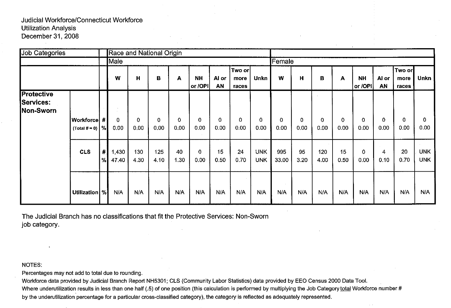| Job Categories                              |                                        |           | <b>Race and National Origin</b> |             |             |                  |                      |                  |                         |                          |              |            |                     |                     |                      |                     |                         |                          |
|---------------------------------------------|----------------------------------------|-----------|---------------------------------|-------------|-------------|------------------|----------------------|------------------|-------------------------|--------------------------|--------------|------------|---------------------|---------------------|----------------------|---------------------|-------------------------|--------------------------|
|                                             |                                        |           | Male                            |             |             |                  |                      |                  |                         |                          | Female       |            |                     |                     |                      |                     |                         |                          |
|                                             |                                        |           | w                               | Н           | в           | A                | <b>NH</b><br>or /OPI | Al or<br>AN      | Two or<br>more<br>races | Unkn                     | W            | н          | в                   | A                   | <b>NH</b><br>or /OPI | Al or<br>AN         | Two or<br>more<br>races | <b>Unkn</b>              |
| <b>Protective</b><br>Services:<br>Non-Sworn |                                        |           |                                 |             |             |                  |                      |                  |                         |                          |              |            |                     |                     |                      |                     |                         |                          |
|                                             | <b>Workforce</b><br>(Total # = 0) $ %$ | -#        | 0<br>0.00                       | 0<br>0.00   | 0<br>0.00   | $\Omega$<br>0.00 | $\pmb{0}$<br>0.00    | $\Omega$<br>0.00 | $\mathbf 0$<br>0.00     | $\Omega$<br>0.00         | 0<br>0.00    | 0<br>0.00  | $\mathbf 0$<br>0.00 | $\mathbf 0$<br>0.00 | 0<br>0.00            | $\mathbf 0$<br>0.00 | $\mathbf 0$<br>0.00     | 0<br>0.00                |
|                                             | <b>CLS</b>                             | $\#$<br>% | 1,430<br>47.40                  | 130<br>4.30 | 125<br>4.10 | 40<br>1.30       | $\mathbf 0$<br>0.00  | 15<br>0.50       | 24<br>0.70              | <b>UNK</b><br><b>UNK</b> | 995<br>33.00 | 95<br>3.20 | 120<br>4.00         | 15<br>0.50          | 0<br>0.00            | 4<br>0.10           | 20<br>0.70              | <b>UNK</b><br><b>UNK</b> |
|                                             | Utilization   %                        |           | N/A                             | N/A         | N/A         | N/A              | N/A                  | N/A              | N/A                     | N/A                      | N/A          | N/A        | N/A                 | N/A                 | N/A                  | N/A                 | N/A                     | N/A                      |

The Judicial Branch has no classifications that fit the Protective Services: Non-Sworn job category.

NOTES:

Percentages may not add to total due to rounding.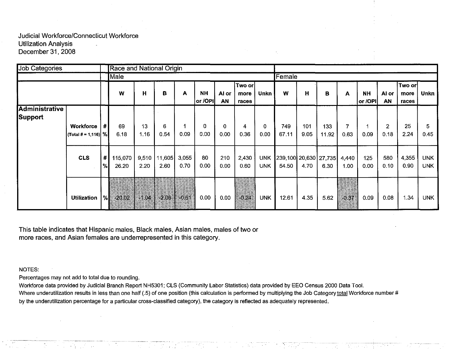| <b>Job Categories</b> |                                |      | Race and National Origin |         |         |         |                      |             |                         |             |                             |             |       |         |                      |                    |                           |             |
|-----------------------|--------------------------------|------|--------------------------|---------|---------|---------|----------------------|-------------|-------------------------|-------------|-----------------------------|-------------|-------|---------|----------------------|--------------------|---------------------------|-------------|
|                       |                                |      | Male                     |         |         |         |                      |             |                         |             | Female                      |             |       |         |                      |                    |                           |             |
|                       |                                |      | W                        | н       | в       | A       | <b>NH</b><br>or /OPI | Al or<br>AN | Two or<br>more<br>races | <b>Unkn</b> | W                           | $\mathbf H$ | в     | A       | <b>NH</b><br>or /OPI | Al or<br><b>AN</b> | ∣Two or!<br>more<br>races | <b>Unkn</b> |
| <b>Administrative</b> |                                |      |                          |         |         |         |                      |             |                         |             |                             |             |       |         |                      |                    |                           |             |
| Support               |                                |      |                          |         |         |         |                      |             |                         |             |                             |             |       |         |                      |                    |                           |             |
|                       | <b>Workforce</b>               | #    | 69                       | 13      | 6       |         | 0                    | 0           | 4                       | 0           | 749                         | 101         | 133   | 7       | 4                    | $\mathbf{2}$       | 25                        | 5.          |
|                       | $ $ (Total # = 1,116) $  \%  $ |      | 6.18                     | 1.16    | 0.54    | 0.09    | 0.00                 | 0.00        | 0.36                    | 0.00        | 67.11                       | 9.05        | 11.92 | 0.63    | 0.09                 | 0.18               | 2.24                      | 0.45        |
|                       | <b>CLS</b>                     | #    | 115,070                  | 9,510   | 11,605  | 3,055   | 80                   | 210         | 2,430                   | <b>UNK</b>  | 239,100 20,630 27,735 4,440 |             |       |         | 125                  | 580                | 4,355                     | <b>UNK</b>  |
|                       |                                | %    | 26.20                    | 2.20    | 2.60    | 0.70    | 0.00                 | 0.00        | 0.60                    | <b>UNK</b>  | 54.50                       | 4.70        | 6.30  | 1.00    | 0.00                 | 0.10               | 0.90                      | <b>UNK</b>  |
|                       |                                |      |                          |         |         |         |                      |             |                         |             |                             |             |       |         |                      |                    |                           |             |
|                       | <b>Utilization</b>             | $\%$ | $-20.02$                 | $-1.04$ | $-2.06$ | $-0.61$ | 0.00                 | 0.00        | $-0.24$                 | <b>UNK</b>  | 12.61                       | 4.35        | 5.62  | $-0.37$ | 0.09                 | 0.08               | 1.34                      | <b>UNK</b>  |

 $\sim$ 

This table indicates that Hispanic males, Black males, Asian males, males of two or more races, and Asian females are underrepresented in this category.

#### NOTES:

Percentages may not add to total due to rounding.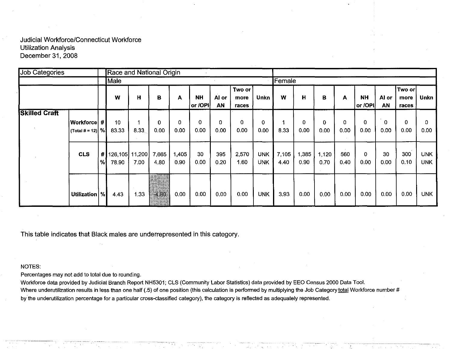| <b>Job Categories</b> |                                                  |                 | Race and National Origin |       |                     |                     |                      |             |                         |                   |               |               |                      |             |                      |                     |                          |                          |
|-----------------------|--------------------------------------------------|-----------------|--------------------------|-------|---------------------|---------------------|----------------------|-------------|-------------------------|-------------------|---------------|---------------|----------------------|-------------|----------------------|---------------------|--------------------------|--------------------------|
|                       |                                                  |                 | Male                     |       |                     |                     |                      |             |                         |                   | Female        |               |                      |             |                      |                     |                          |                          |
|                       |                                                  |                 | W                        | н     | в                   | A                   | <b>NH</b><br>or /OPI | Al or<br>AN | Two or<br>more<br>races | Unkn              | W             | Н             | в                    | A           | <b>NH</b><br>or /OPI | Al or<br>AN         | ∣Two or<br>more<br>races | Unkn                     |
| <b>Skilled Craft</b>  | Workforce  # <i>\</i><br>$ $ (Total # = 12) $ %$ |                 | 10 <sup>°</sup><br>83.33 | 8.33  | 0<br>0.00           | $\mathbf 0$<br>0.00 | 0<br>0.00            | 0<br>0.00   | 0<br>0.00               | 0<br>0.00         | 8.33          | 0<br>0.00     | $\mathbf{0}$<br>0.00 | 0<br>0.00   | 0<br>0.00            | $\mathbf 0$<br>0.00 | 0<br>0.00                | 0<br>0.00                |
|                       | <b>CLS</b>                                       | # <br>%         | 126,105 11,200<br>78.90  | 7.00  | 7,665<br>4.80       | 1,405<br>0.90       | 30<br>0.00           | 395<br>0.20 | 2,570<br>1.60           | <b>UNK</b><br>UNK | 7,105<br>4.40 | 1,385<br>0.90 | 1,120<br>0.70        | 560<br>0.40 | 0<br>0.00            | 30<br>0.00          | 300<br>0.10              | <b>UNK</b><br><b>UNK</b> |
|                       | Utilization                                      | $\mathcal{H}_0$ | 4.43                     | 1 3 3 | Hapatara<br>$-4.80$ | 0.00                | 0.00                 | 0.00        | 0.00                    | <b>UNK</b>        | 3.93          | 0.00          | 0.00                 | 0.00        | 0.00                 | 0.00                | 0.00                     | <b>UNK</b>               |

This table indicates that Black males are underrepresented in this category.

## NOTES:

Percentages may not add to total due to rounding.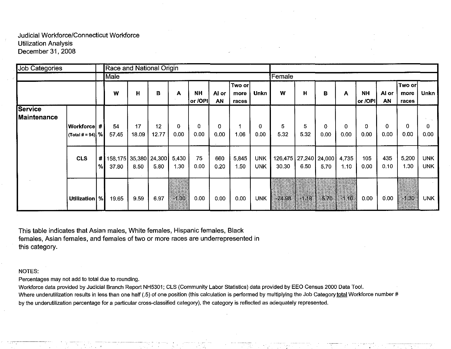| <b>Job Categories</b>                |                         | Race and National Origin |                                      |       |       |               |                      |             |                         |                          |                                      |         |          |               |                      |             |                         |                          |
|--------------------------------------|-------------------------|--------------------------|--------------------------------------|-------|-------|---------------|----------------------|-------------|-------------------------|--------------------------|--------------------------------------|---------|----------|---------------|----------------------|-------------|-------------------------|--------------------------|
|                                      |                         |                          | Male                                 |       |       |               |                      |             |                         |                          | Female                               |         |          |               |                      |             |                         |                          |
|                                      |                         |                          | W                                    | н     | в     | A             | <b>NH</b><br>or /OPI | Al or<br>AN | Two or<br>more<br>races | Unkn                     | w                                    | H       | в        | A             | <b>NH</b><br>or /OPI | Al or<br>AN | Two or<br>more<br>races | <b>Unkn</b>              |
| <b>Service</b><br><b>Maintenance</b> |                         |                          |                                      |       |       |               |                      |             |                         |                          |                                      |         |          |               |                      |             |                         |                          |
|                                      | ∣Workforce  # I         |                          | 54                                   | 17    | 12    | $\mathbf{0}$  | 0                    | 0           |                         | $\mathbf 0$              | 5                                    | 5       | $\Omega$ | $\mathbf{0}$  | 0                    | $\Omega$    | $\Omega$                | 0                        |
|                                      | $ $ (Total # = 94) $ %$ |                          | 57.45                                | 18.09 | 12.77 | 0.00          | 0.00                 | 0.00        | 1.06                    | 0.00                     | 5.32                                 | 5.32    | 0.00     | 0.00          | 0.00                 | 0.00        | 0.00                    | 0.00                     |
|                                      | <b>CLS</b>              | #<br>%                   | 158,175   35,380   24,300  <br>37.80 | 8.50  | 5.80  | 5,430<br>1.30 | 75<br>0.00           | 660<br>0.20 | 5,845<br>1.50           | <b>UNK</b><br><b>UNK</b> | 126,475   27,240   24,000  <br>30.30 | 6.50    | 5.70     | 4,735<br>1.10 | 105<br>0.00          | 435<br>0.10 | 5.200<br>1.30           | <b>UNK</b><br><b>UNK</b> |
|                                      |                         |                          |                                      |       |       |               |                      |             |                         |                          |                                      |         |          |               |                      |             |                         |                          |
|                                      | Utilization   %         |                          | 19.65                                | 9.59  | 6.97  | $-1.30$       | 0.00                 | 0.00        | 0.00                    | <b>UNK</b>               | $-24.98$                             | $-1.18$ | $-5.70$  | $-1.10$       | 0.00 <sub>1</sub>    | 0.00        | $-1.30$                 | <b>UNK</b>               |

This table indicates that Asian males, White females, Hispanic females, Black females, Asian females, and females of two or more races are underrepresented in this category.

#### NOTES:

Percentages may not add to total due to rounding.